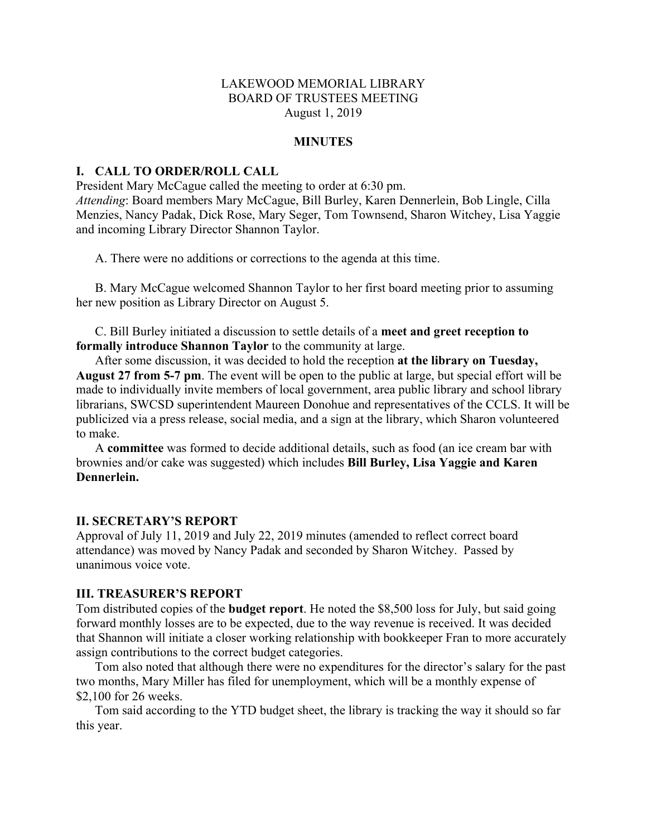# LAKEWOOD MEMORIAL LIBRARY BOARD OF TRUSTEES MEETING August 1, 2019

#### **MINUTES**

## **I. CALL TO ORDER/ROLL CALL**

President Mary McCague called the meeting to order at 6:30 pm. *Attending*: Board members Mary McCague, Bill Burley, Karen Dennerlein, Bob Lingle, Cilla Menzies, Nancy Padak, Dick Rose, Mary Seger, Tom Townsend, Sharon Witchey, Lisa Yaggie and incoming Library Director Shannon Taylor.

A. There were no additions or corrections to the agenda at this time.

B. Mary McCague welcomed Shannon Taylor to her first board meeting prior to assuming her new position as Library Director on August 5.

C. Bill Burley initiated a discussion to settle details of a **meet and greet reception to formally introduce Shannon Taylor** to the community at large.

After some discussion, it was decided to hold the reception **at the library on Tuesday, August 27 from 5-7 pm**. The event will be open to the public at large, but special effort will be made to individually invite members of local government, area public library and school library librarians, SWCSD superintendent Maureen Donohue and representatives of the CCLS. It will be publicized via a press release, social media, and a sign at the library, which Sharon volunteered to make.

A **committee** was formed to decide additional details, such as food (an ice cream bar with brownies and/or cake was suggested) which includes **Bill Burley, Lisa Yaggie and Karen Dennerlein.** 

#### **II. SECRETARY'S REPORT**

Approval of July 11, 2019 and July 22, 2019 minutes (amended to reflect correct board attendance) was moved by Nancy Padak and seconded by Sharon Witchey. Passed by unanimous voice vote.

## **III. TREASURER'S REPORT**

Tom distributed copies of the **budget report**. He noted the \$8,500 loss for July, but said going forward monthly losses are to be expected, due to the way revenue is received. It was decided that Shannon will initiate a closer working relationship with bookkeeper Fran to more accurately assign contributions to the correct budget categories.

Tom also noted that although there were no expenditures for the director's salary for the past two months, Mary Miller has filed for unemployment, which will be a monthly expense of \$2,100 for 26 weeks.

Tom said according to the YTD budget sheet, the library is tracking the way it should so far this year.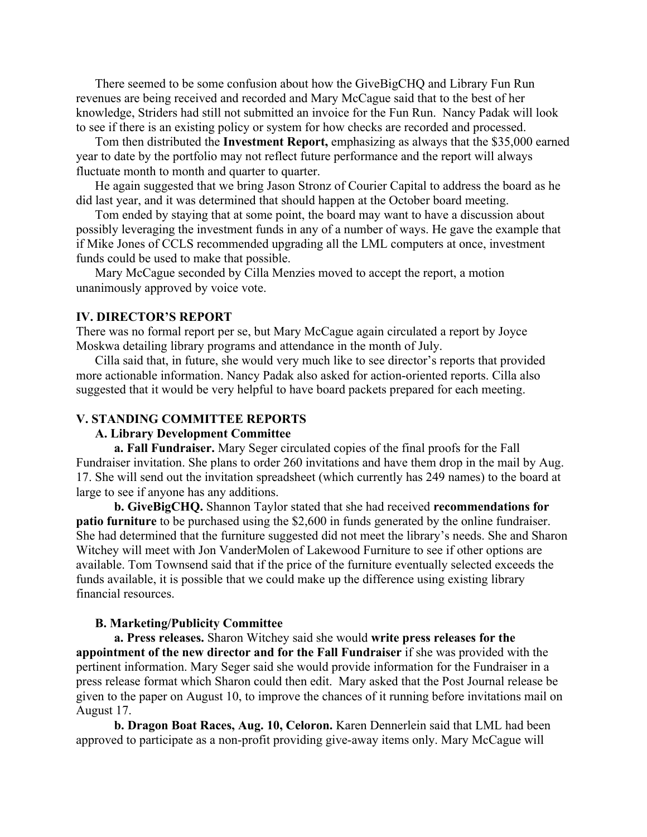There seemed to be some confusion about how the GiveBigCHQ and Library Fun Run revenues are being received and recorded and Mary McCague said that to the best of her knowledge, Striders had still not submitted an invoice for the Fun Run. Nancy Padak will look to see if there is an existing policy or system for how checks are recorded and processed.

Tom then distributed the **Investment Report,** emphasizing as always that the \$35,000 earned year to date by the portfolio may not reflect future performance and the report will always fluctuate month to month and quarter to quarter.

He again suggested that we bring Jason Stronz of Courier Capital to address the board as he did last year, and it was determined that should happen at the October board meeting.

Tom ended by staying that at some point, the board may want to have a discussion about possibly leveraging the investment funds in any of a number of ways. He gave the example that if Mike Jones of CCLS recommended upgrading all the LML computers at once, investment funds could be used to make that possible.

Mary McCague seconded by Cilla Menzies moved to accept the report, a motion unanimously approved by voice vote.

# **IV. DIRECTOR'S REPORT**

There was no formal report per se, but Mary McCague again circulated a report by Joyce Moskwa detailing library programs and attendance in the month of July.

Cilla said that, in future, she would very much like to see director's reports that provided more actionable information. Nancy Padak also asked for action-oriented reports. Cilla also suggested that it would be very helpful to have board packets prepared for each meeting.

# **V. STANDING COMMITTEE REPORTS**

# **A. Library Development Committee**

**a. Fall Fundraiser.** Mary Seger circulated copies of the final proofs for the Fall Fundraiser invitation. She plans to order 260 invitations and have them drop in the mail by Aug. 17. She will send out the invitation spreadsheet (which currently has 249 names) to the board at large to see if anyone has any additions.

**b. GiveBigCHQ.** Shannon Taylor stated that she had received **recommendations for patio furniture** to be purchased using the \$2,600 in funds generated by the online fundraiser. She had determined that the furniture suggested did not meet the library's needs. She and Sharon Witchey will meet with Jon VanderMolen of Lakewood Furniture to see if other options are available. Tom Townsend said that if the price of the furniture eventually selected exceeds the funds available, it is possible that we could make up the difference using existing library financial resources.

#### **B. Marketing/Publicity Committee**

**a. Press releases.** Sharon Witchey said she would **write press releases for the appointment of the new director and for the Fall Fundraiser** if she was provided with the pertinent information. Mary Seger said she would provide information for the Fundraiser in a press release format which Sharon could then edit. Mary asked that the Post Journal release be given to the paper on August 10, to improve the chances of it running before invitations mail on August 17.

**b. Dragon Boat Races, Aug. 10, Celoron.** Karen Dennerlein said that LML had been approved to participate as a non-profit providing give-away items only. Mary McCague will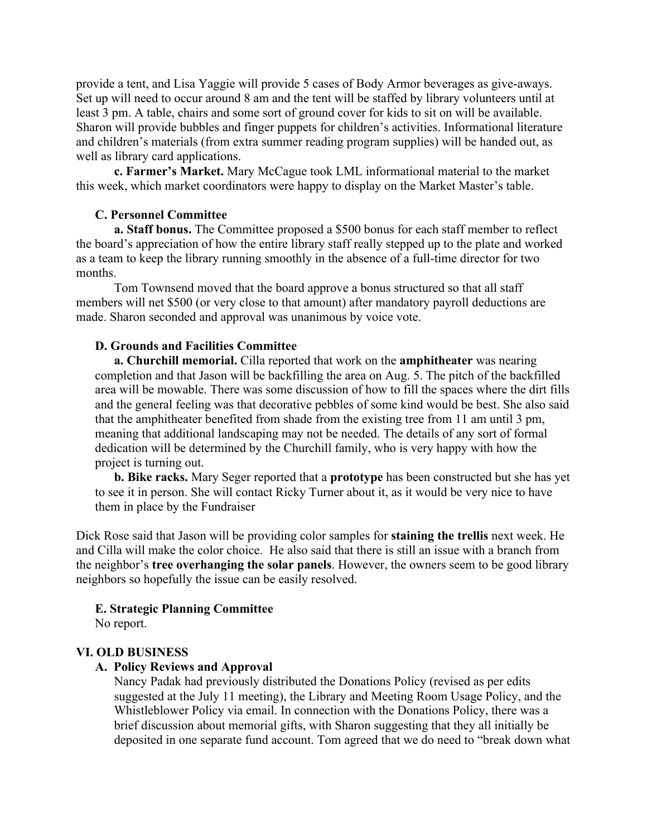provide a tent, and Lisa Yaggie will provide 5 cases of Body Armor beverages as give-aways. Set up will need to occur around 8 am and the tent will be staffed by library volunteers until at least 3 pm. A table, chairs and some sort of ground cover for kids to sit on will be available. Sharon will provide bubbles and finger puppets for children's activities. Informational literature and children's materials (from extra summer reading program supplies) will be handed out, as well as library card applications.

**c. Farmer's Market.** Mary McCague took LML informational material to the market this week, which market coordinators were happy to display on the Market Master's table.

# **C. Personnel Committee**

**a. Staff bonus.** The Committee proposed a \$500 bonus for each staff member to reflect the board's appreciation of how the entire library staff really stepped up to the plate and worked as a team to keep the library running smoothly in the absence of a full-time director for two months.

Tom Townsend moved that the board approve a bonus structured so that all staff members will net \$500 (or very close to that amount) after mandatory payroll deductions are made. Sharon seconded and approval was unanimous by voice vote.

## **D. Grounds and Facilities Committee**

**a. Churchill memorial.** Cilla reported that work on the **amphitheater** was nearing completion and that Jason will be backfilling the area on Aug. 5. The pitch of the backfilled area will be mowable. There was some discussion of how to fill the spaces where the dirt fills and the general feeling was that decorative pebbles of some kind would be best. She also said that the amphitheater benefited from shade from the existing tree from 11 am until 3 pm, meaning that additional landscaping may not be needed. The details of any sort of formal dedication will be determined by the Churchill family, who is very happy with how the project is turning out.

**b. Bike racks.** Mary Seger reported that a **prototype** has been constructed but she has yet to see it in person. She will contact Ricky Turner about it, as it would be very nice to have them in place by the Fundraiser

Dick Rose said that Jason will be providing color samples for **staining the trellis** next week. He and Cilla will make the color choice. He also said that there is still an issue with a branch from the neighbor's **tree overhanging the solar panels**. However, the owners seem to be good library neighbors so hopefully the issue can be easily resolved.

#### **E. Strategic Planning Committee**

No report.

# **VI. OLD BUSINESS**

# **A. Policy Reviews and Approval**

Nancy Padak had previously distributed the Donations Policy (revised as per edits suggested at the July 11 meeting), the Library and Meeting Room Usage Policy, and the Whistleblower Policy via email. In connection with the Donations Policy, there was a brief discussion about memorial gifts, with Sharon suggesting that they all initially be deposited in one separate fund account. Tom agreed that we do need to "break down what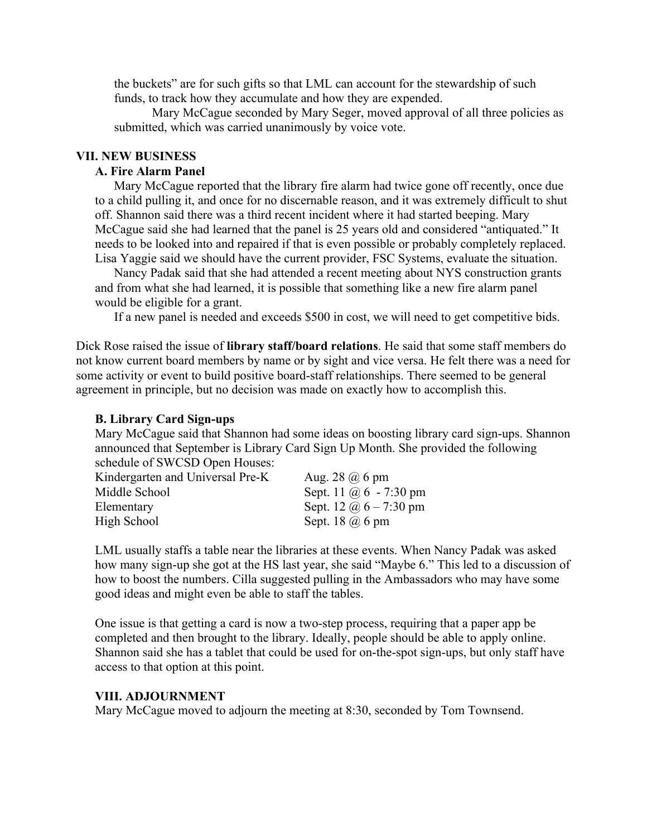the buckets" are for such gifts so that LML can account for the stewardship of such funds, to track how they accumulate and how they are expended.

Mary McCague seconded by Mary Seger, moved approval of all three policies as submitted, which was carried unanimously by voice vote.

# **VII. NEW BUSINESS**

# **A. Fire Alarm Panel**

Mary McCague reported that the library fire alarm had twice gone off recently, once due to a child pulling it, and once for no discernable reason, and it was extremely difficult to shut off. Shannon said there was a third recent incident where it had started beeping. Mary McCague said she had learned that the panel is 25 years old and considered "antiquated." It needs to be looked into and repaired if that is even possible or probably completely replaced. Lisa Yaggie said we should have the current provider, FSC Systems, evaluate the situation.

Nancy Padak said that she had attended a recent meeting about NYS construction grants and from what she had learned, it is possible that something like a new fire alarm panel would be eligible for a grant.

If a new panel is needed and exceeds \$500 in cost, we will need to get competitive bids.

Dick Rose raised the issue of **library staff/board relations**. He said that some staff members do not know current board members by name or by sight and vice versa. He felt there was a need for some activity or event to build positive board-staff relationships. There seemed to be general agreement in principle, but no decision was made on exactly how to accomplish this.

#### **B. Library Card Sign-ups**

Mary McCague said that Shannon had some ideas on boosting library card sign-ups. Shannon announced that September is Library Card Sign Up Month. She provided the following schedule of SWCSD Open Houses:

| Kindergarten and Universal Pre-K | Aug. $28$ $\omega$ 6 pm       |
|----------------------------------|-------------------------------|
| Middle School                    | Sept. 11 $\omega$ 6 - 7:30 pm |
| Elementary                       | Sept. 12 $\omega$ 6 – 7:30 pm |
| High School                      | Sept. 18 $\omega$ 6 pm        |

LML usually staffs a table near the libraries at these events. When Nancy Padak was asked how many sign-up she got at the HS last year, she said "Maybe 6." This led to a discussion of how to boost the numbers. Cilla suggested pulling in the Ambassadors who may have some good ideas and might even be able to staff the tables.

One issue is that getting a card is now a two-step process, requiring that a paper app be completed and then brought to the library. Ideally, people should be able to apply online. Shannon said she has a tablet that could be used for on-the-spot sign-ups, but only staff have access to that option at this point.

#### **VIII. ADJOURNMENT**

Mary McCague moved to adjourn the meeting at 8:30, seconded by Tom Townsend.